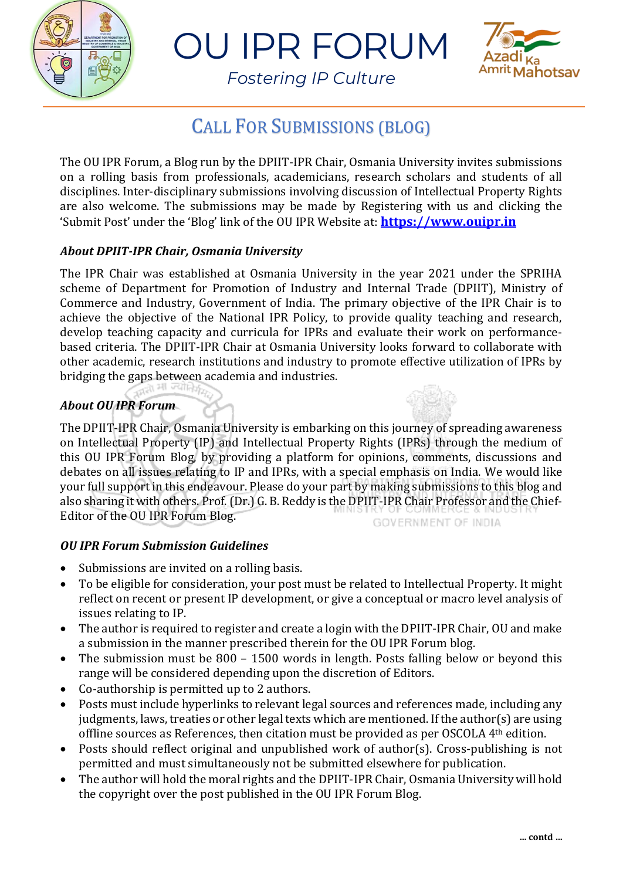

OU IPR FORUM



*Fostering IP Culture*

# CALL FOR SUBMISSIONS (BLOG)

The OU IPR Forum, a Blog run by the DPIIT-IPR Chair, Osmania University invites submissions on a rolling basis from professionals, academicians, research scholars and students of all disciplines. Inter-disciplinary submissions involving discussion of Intellectual Property Rights are also welcome. The submissions may be made by Registering with us and clicking the 'Submit Post' under the 'Blog' link of the OU IPR Website at: **[https://www.ouipr.in](https://www.ouipr.in/)**

## *About DPIIT-IPR Chair, Osmania University*

The IPR Chair was established at Osmania University in the year 2021 under the SPRIHA scheme of Department for Promotion of Industry and Internal Trade (DPIIT), Ministry of Commerce and Industry, Government of India. The primary objective of the IPR Chair is to achieve the objective of the National IPR Policy, to provide quality teaching and research, develop teaching capacity and curricula for IPRs and evaluate their work on performancebased criteria. The DPIIT-IPR Chair at Osmania University looks forward to collaborate with other academic, research institutions and industry to promote effective utilization of IPRs by bridging the gaps between academia and industries.

## *About OU IPR Forum*

The DPIIT-IPR Chair, Osmania University is embarking on this journey of spreading awareness on Intellectual Property (IP) and Intellectual Property Rights (IPRs) through the medium of this OU IPR Forum Blog, by providing a platform for opinions, comments, discussions and debates on all issues relating to IP and IPRs, with a special emphasis on India. We would like your full support in this endeavour. Please do your part by making submissions to this blog and also sharing it with others. Prof. (Dr.) G. B. Reddy is the DPIIT-IPR Chair Professor and the Chief-Editor of the OU IPR Forum Blog. **GOVERNMENT OF INDIA** 

### *OU IPR Forum Submission Guidelines*

- Submissions are invited on a rolling basis.
- To be eligible for consideration, your post must be related to Intellectual Property. It might reflect on recent or present IP development, or give a conceptual or macro level analysis of issues relating to IP.
- The author is required to register and create a login with the DPIIT-IPR Chair, OU and make a submission in the manner prescribed therein for the OU IPR Forum blog.
- The submission must be 800 1500 words in length. Posts falling below or beyond this range will be considered depending upon the discretion of Editors.
- Co-authorship is permitted up to 2 authors.
- Posts must include hyperlinks to relevant legal sources and references made, including any judgments, laws, treaties or other legal texts which are mentioned. If the author(s) are using offline sources as References, then citation must be provided as per OSCOLA 4th edition.
- Posts should reflect original and unpublished work of author(s). Cross-publishing is not permitted and must simultaneously not be submitted elsewhere for publication.
- The author will hold the moral rights and the DPIIT-IPR Chair, Osmania University will hold the copyright over the post published in the OU IPR Forum Blog.